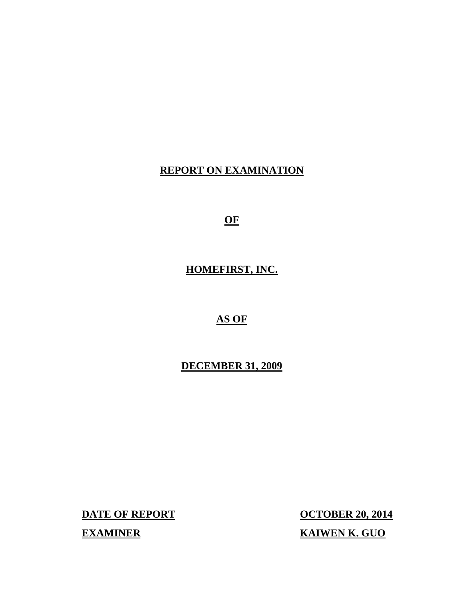# **REPORT ON EXAMINATION**

**OF** 

# **HOMEFIRST, INC.**

# **AS OF**

# **DECEMBER 31, 2009**

**EXAMINER KAIWEN K. GUO** 

**DATE OF REPORT CONTRACT CONTRACT CONTRACT OCTOBER 20, 2014**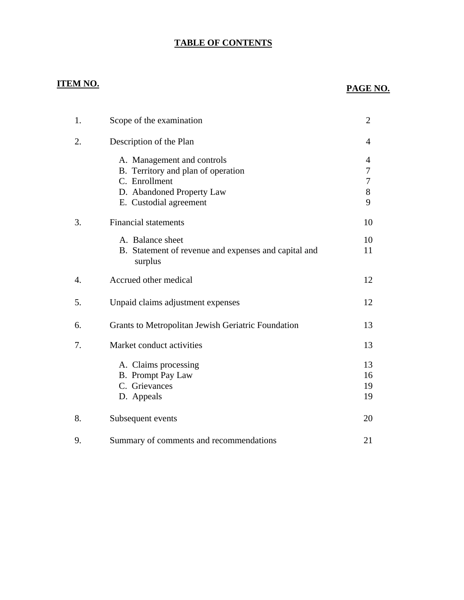# **TABLE OF CONTENTS**

# **ITEM NO. PAGE NO.**

| 1. | Scope of the examination                                                                                                                 | $\overline{2}$        |
|----|------------------------------------------------------------------------------------------------------------------------------------------|-----------------------|
| 2. | Description of the Plan                                                                                                                  | 4                     |
|    | A. Management and controls<br>B. Territory and plan of operation<br>C. Enrollment<br>D. Abandoned Property Law<br>E. Custodial agreement | 4<br>7<br>7<br>8<br>9 |
| 3. | <b>Financial statements</b>                                                                                                              | 10                    |
|    | A. Balance sheet<br>B. Statement of revenue and expenses and capital and<br>surplus                                                      | 10<br>11              |
| 4. | Accrued other medical                                                                                                                    | 12                    |
| 5. | Unpaid claims adjustment expenses                                                                                                        | 12                    |
| 6. | Grants to Metropolitan Jewish Geriatric Foundation                                                                                       | 13                    |
| 7. | Market conduct activities                                                                                                                | 13                    |
|    | A. Claims processing<br>B. Prompt Pay Law<br>C. Grievances<br>D. Appeals                                                                 | 13<br>16<br>19<br>19  |
| 8. | Subsequent events                                                                                                                        | 20                    |
| 9. | Summary of comments and recommendations                                                                                                  | 21                    |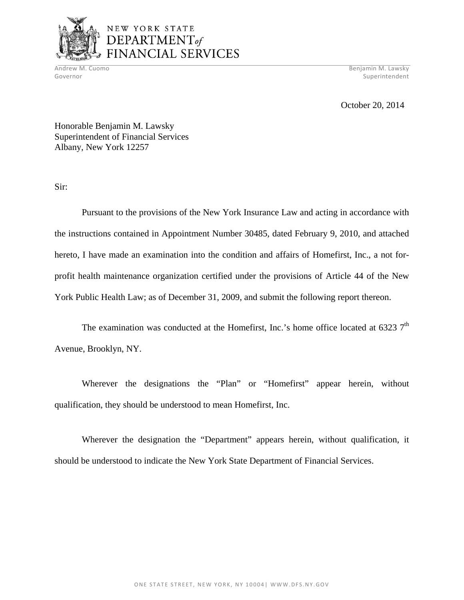

# NEW YORK STATE DEPARTMENT<sub>of</sub> FINANCIAL SERVICES

Andrew M. Cuomo Benjamin M. Lawsky Governor Superintendent Superintendent Superintendent Superintendent Superintendent Superintendent Superintendent

October 20, 2014

Honorable Benjamin M. Lawsky Superintendent of Financial Services Albany, New York 12257

Sir:

Pursuant to the provisions of the New York Insurance Law and acting in accordance with the instructions contained in Appointment Number 30485, dated February 9, 2010, and attached hereto, I have made an examination into the condition and affairs of Homefirst, Inc., a not forprofit health maintenance organization certified under the provisions of Article 44 of the New York Public Health Law; as of December 31, 2009, and submit the following report thereon.

The examination was conducted at the Homefirst, Inc.'s home office located at 6323  $7<sup>th</sup>$ Avenue, Brooklyn, NY.

Wherever the designations the "Plan" or "Homefirst" appear herein, without qualification, they should be understood to mean Homefirst, Inc.

Wherever the designation the "Department" appears herein, without qualification, it should be understood to indicate the New York State Department of Financial Services.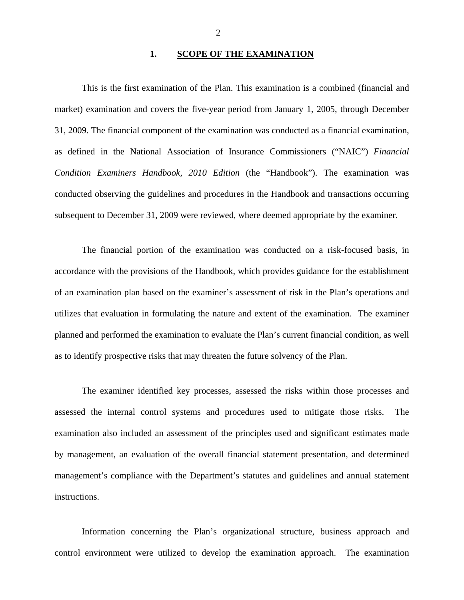#### **1. SCOPE OF THE EXAMINATION**

This is the first examination of the Plan. This examination is a combined (financial and market) examination and covers the five-year period from January 1, 2005, through December 31, 2009. The financial component of the examination was conducted as a financial examination, as defined in the National Association of Insurance Commissioners ("NAIC") *Financial Condition Examiners Handbook, 2010 Edition* (the "Handbook"). The examination was conducted observing the guidelines and procedures in the Handbook and transactions occurring subsequent to December 31, 2009 were reviewed, where deemed appropriate by the examiner.

The financial portion of the examination was conducted on a risk-focused basis, in accordance with the provisions of the Handbook, which provides guidance for the establishment of an examination plan based on the examiner's assessment of risk in the Plan's operations and utilizes that evaluation in formulating the nature and extent of the examination. The examiner planned and performed the examination to evaluate the Plan's current financial condition, as well as to identify prospective risks that may threaten the future solvency of the Plan.

The examiner identified key processes, assessed the risks within those processes and assessed the internal control systems and procedures used to mitigate those risks. The examination also included an assessment of the principles used and significant estimates made by management, an evaluation of the overall financial statement presentation, and determined management's compliance with the Department's statutes and guidelines and annual statement instructions.

Information concerning the Plan's organizational structure, business approach and control environment were utilized to develop the examination approach. The examination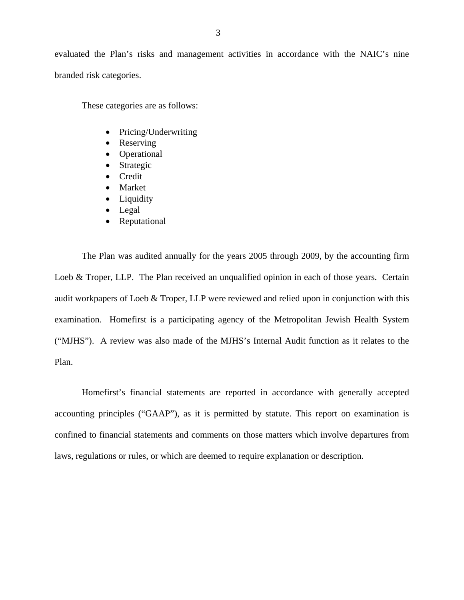evaluated the Plan's risks and management activities in accordance with the NAIC's nine branded risk categories.

These categories are as follows:

- Pricing/Underwriting
- Reserving
- Operational
- Strategic
- Credit
- Market
- Liquidity
- Legal
- Reputational

The Plan was audited annually for the years 2005 through 2009, by the accounting firm Loeb & Troper, LLP. The Plan received an unqualified opinion in each of those years. Certain audit workpapers of Loeb & Troper, LLP were reviewed and relied upon in conjunction with this examination. Homefirst is a participating agency of the Metropolitan Jewish Health System ("MJHS"). A review was also made of the MJHS's Internal Audit function as it relates to the Plan.

Homefirst's financial statements are reported in accordance with generally accepted accounting principles ("GAAP"), as it is permitted by statute. This report on examination is confined to financial statements and comments on those matters which involve departures from laws, regulations or rules, or which are deemed to require explanation or description.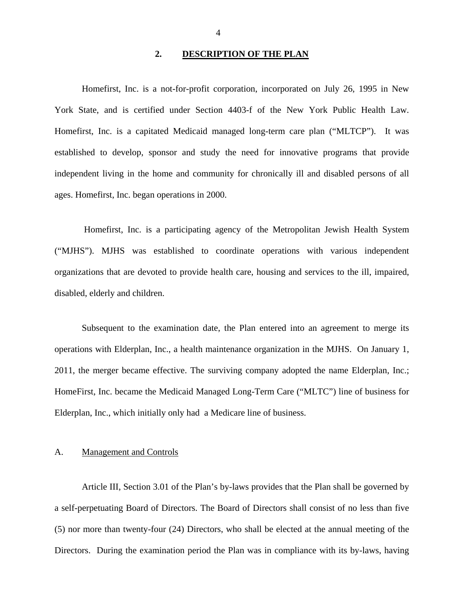### 2. **DESCRIPTION OF THE PLAN**

<span id="page-5-0"></span>Homefirst, Inc. is a not-for-profit corporation, incorporated on July 26, 1995 in New York State, and is certified under Section 4403-f of the New York Public Health Law. Homefirst, Inc. is a capitated Medicaid managed long-term care plan ("MLTCP"). It was established to develop, sponsor and study the need for innovative programs that provide independent living in the home and community for chronically ill and disabled persons of all ages. Homefirst, Inc. began operations in 2000.

Homefirst, Inc. is a participating agency of the Metropolitan Jewish Health System ("MJHS"). MJHS was established to coordinate operations with various independent organizations that are devoted to provide health care, housing and services to the ill, impaired, disabled, elderly and children.

Subsequent to the examination date, the Plan entered into an agreement to merge its operations with Elderplan, Inc., a health maintenance organization in the MJHS. On January 1, 2011, the merger became effective. The surviving company adopted the name Elderplan, Inc.; HomeFirst, Inc. became the Medicaid Managed Long-Term Care ("MLTC") line of business for Elderplan, Inc., which initially only had a Medicare line of business.

#### A. Management and Controls

Article III, Section 3.01 of the Plan's by-laws provides that the Plan shall be governed by a self-perpetuating Board of Directors. The Board of Directors shall consist of no less than five (5) nor more than twenty-four (24) Directors, who shall be elected at the annual meeting of the Directors. During the examination period the Plan was in compliance with its by-laws, having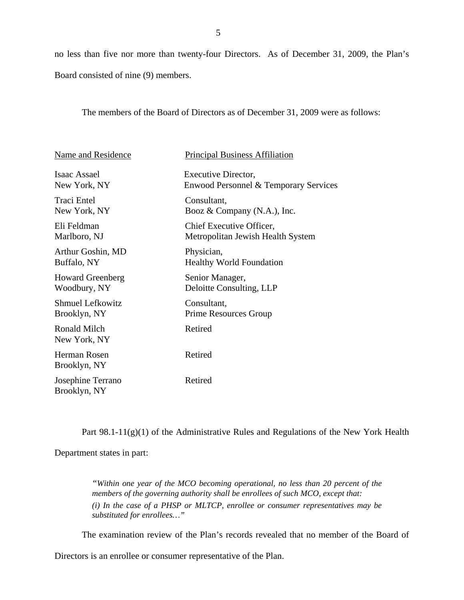no less than five nor more than twenty-four Directors. As of December 31, 2009, the Plan's Board consisted of nine (9) members.

The members of the Board of Directors as of December 31, 2009 were as follows:

| Name and Residence                | <b>Principal Business Affiliation</b> |
|-----------------------------------|---------------------------------------|
| Isaac Assael                      | Executive Director,                   |
| New York, NY                      | Enwood Personnel & Temporary Services |
| <b>Traci Entel</b>                | Consultant,                           |
| New York, NY                      | Booz & Company $(N.A.),$ Inc.         |
| Eli Feldman                       | Chief Executive Officer,              |
| Marlboro, NJ                      | Metropolitan Jewish Health System     |
| Arthur Goshin, MD                 | Physician,                            |
| Buffalo, NY                       | <b>Healthy World Foundation</b>       |
| <b>Howard Greenberg</b>           | Senior Manager,                       |
| Woodbury, NY                      | Deloitte Consulting, LLP              |
| <b>Shmuel Lefkowitz</b>           | Consultant,                           |
| Brooklyn, NY                      | Prime Resources Group                 |
| Ronald Milch<br>New York, NY      | Retired                               |
| Herman Rosen<br>Brooklyn, NY      | Retired                               |
| Josephine Terrano<br>Brooklyn, NY | Retired                               |

Part 98.1-11(g)(1) of the Administrative Rules and Regulations of the New York Health

Department states in part:

*"Within one year of the MCO becoming operational, no less than 20 percent of the members of the governing authority shall be enrollees of such MCO, except that: (i) In the case of a PHSP or MLTCP, enrollee or consumer representatives may be substituted for enrollees…"* 

The examination review of the Plan's records revealed that no member of the Board of

Directors is an enrollee or consumer representative of the Plan.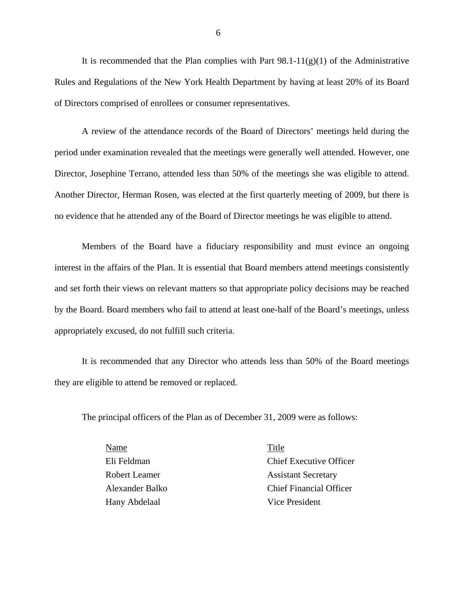It is recommended that the Plan complies with Part  $98.1-11(g)(1)$  of the Administrative Rules and Regulations of the New York Health Department by having at least 20% of its Board of Directors comprised of enrollees or consumer representatives.

A review of the attendance records of the Board of Directors' meetings held during the period under examination revealed that the meetings were generally well attended. However, one Director, Josephine Terrano, attended less than 50% of the meetings she was eligible to attend. Another Director, Herman Rosen, was elected at the first quarterly meeting of 2009, but there is no evidence that he attended any of the Board of Director meetings he was eligible to attend.

Members of the Board have a fiduciary responsibility and must evince an ongoing interest in the affairs of the Plan. It is essential that Board members attend meetings consistently and set forth their views on relevant matters so that appropriate policy decisions may be reached by the Board. Board members who fail to attend at least one-half of the Board's meetings, unless appropriately excused, do not fulfill such criteria.

It is recommended that any Director who attends less than 50% of the Board meetings they are eligible to attend be removed or replaced.

The principal officers of the Plan as of December 31, 2009 were as follows:

Name Title Hany Abdelaal Vice President

 Eli Feldman Chief Executive Officer Robert Leamer Assistant Secretary Alexander Balko Chief Financial Officer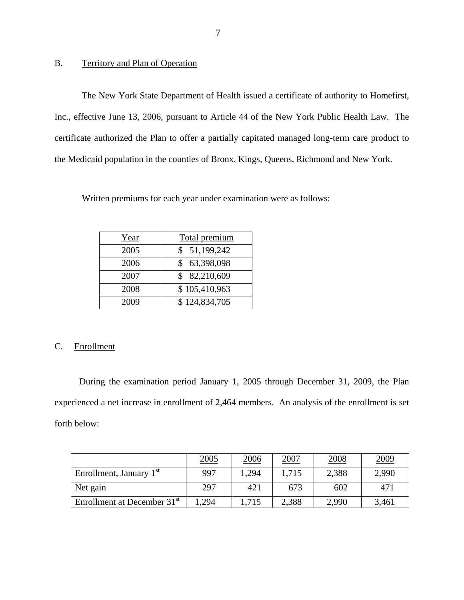### B. Territory and Plan of Operation

The New York State Department of Health issued a certificate of authority to Homefirst, Inc., effective June 13, 2006, pursuant to Article 44 of the New York Public Health Law. The certificate authorized the Plan to offer a partially capitated managed long-term care product to the Medicaid population in the counties of Bronx, Kings, Queens, Richmond and New York.

Written premiums for each year under examination were as follows:

| Year | Total premium |  |
|------|---------------|--|
| 2005 | \$51,199,242  |  |
| 2006 | 63,398,098    |  |
| 2007 | \$82,210,609  |  |
| 2008 | \$105,410,963 |  |
| 2009 | \$124,834,705 |  |

# C. Enrollment

During the examination period January 1, 2005 through December 31, 2009, the Plan experienced a net increase in enrollment of 2,464 members. An analysis of the enrollment is set forth below:

|                                         | 2005 | 2006  | 2007  | 2008  | <u>2009</u> |
|-----------------------------------------|------|-------|-------|-------|-------------|
| Enrollment, January 1 <sup>st</sup>     | 997  | 1.294 | 1,715 | 2,388 | 2,990       |
| Net gain                                | 297  | 421   | 673   | 602   | 471         |
| Enrollment at December 31 <sup>st</sup> | .294 | 1,715 | 2,388 | 2,990 | 3,461       |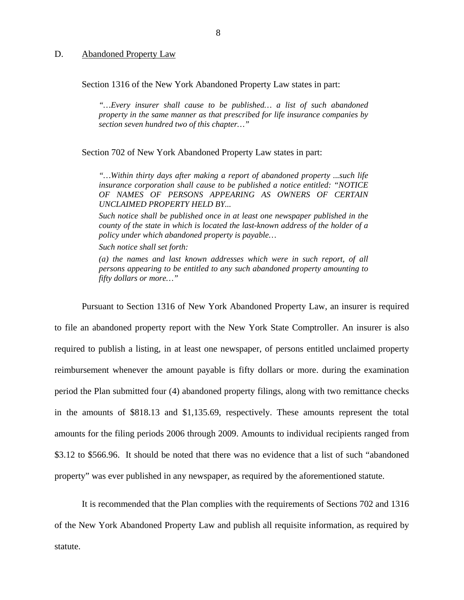#### <span id="page-9-0"></span>D. Abandoned Property Law

Section 1316 of the New York Abandoned Property Law states in part:

*"…Every insurer shall cause to be published… a list of such abandoned property in the same manner as that prescribed for life insurance companies by section seven hundred two of this chapter…"* 

Section 702 of New York Abandoned Property Law states in part:

*"…Within thirty days after making a report of abandoned property ...such life insurance corporation shall cause to be published a notice entitled: "NOTICE OF NAMES OF PERSONS APPEARING AS OWNERS OF CERTAIN UNCLAIMED PROPERTY HELD BY...* 

*Such notice shall be published once in at least one newspaper published in the county of the state in which is located the last-known address of the holder of a policy under which abandoned property is payable…* 

*Such notice shall set forth:* 

*(a) the names and last known addresses which were in such report, of all persons appearing to be entitled to any such abandoned property amounting to fifty dollars or more…"* 

Pursuant to Section 1316 of New York Abandoned Property Law, an insurer is required to file an abandoned property report with the New York State Comptroller. An insurer is also required to publish a listing, in at least one newspaper, of persons entitled unclaimed property reimbursement whenever the amount payable is fifty dollars or more. during the examination period the Plan submitted four (4) abandoned property filings, along with two remittance checks in the amounts of \$818.13 and \$[1,135.69,](https://1,135.69) respectively. These amounts represent the total amounts for the filing periods 2006 through 2009. Amounts to individual recipients ranged from \$3.12 to \$566.96. It should be noted that there was no evidence that a list of such "abandoned property" was ever published in any newspaper, as required by the aforementioned statute.

It is recommended that the Plan complies with the requirements of Sections 702 and 1316 of the New York Abandoned Property Law and publish all requisite information, as required by statute.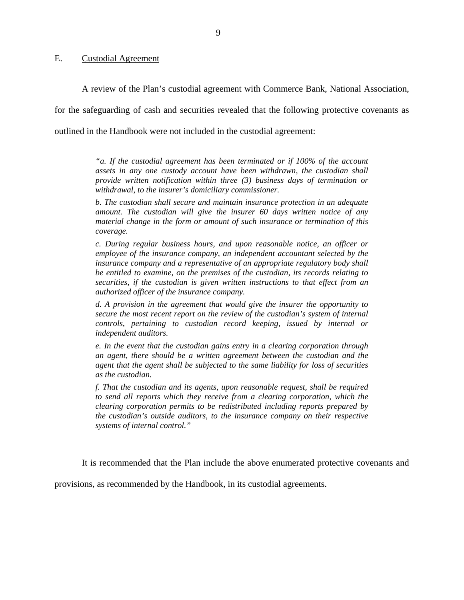#### <span id="page-10-0"></span>E. Custodial Agreement

A review of the Plan's custodial agreement with Commerce Bank, National Association,

for the safeguarding of cash and securities revealed that the following protective covenants as

outlined in the Handbook were not included in the custodial agreement:

*"a. If the custodial agreement has been terminated or if 100% of the account assets in any one custody account have been withdrawn, the custodian shall provide written notification within three (3) business days of termination or withdrawal, to the insurer's domiciliary commissioner.* 

*b. The custodian shall secure and maintain insurance protection in an adequate amount. The custodian will give the insurer 60 days written notice of any material change in the form or amount of such insurance or termination of this coverage.* 

*c. During regular business hours, and upon reasonable notice, an officer or employee of the insurance company, an independent accountant selected by the insurance company and a representative of an appropriate regulatory body shall be entitled to examine, on the premises of the custodian, its records relating to securities, if the custodian is given written instructions to that effect from an authorized officer of the insurance company.* 

*d. A provision in the agreement that would give the insurer the opportunity to secure the most recent report on the review of the custodian's system of internal controls, pertaining to custodian record keeping, issued by internal or independent auditors.* 

*e. In the event that the custodian gains entry in a clearing corporation through an agent, there should be a written agreement between the custodian and the agent that the agent shall be subjected to the same liability for loss of securities as the custodian.* 

 *systems of internal control." f. That the custodian and its agents, upon reasonable request, shall be required to send all reports which they receive from a clearing corporation, which the clearing corporation permits to be redistributed including reports prepared by the custodian's outside auditors, to the insurance company on their respective* 

It is recommended that the Plan include the above enumerated protective covenants and

provisions, as recommended by the Handbook*,* in its custodial agreements.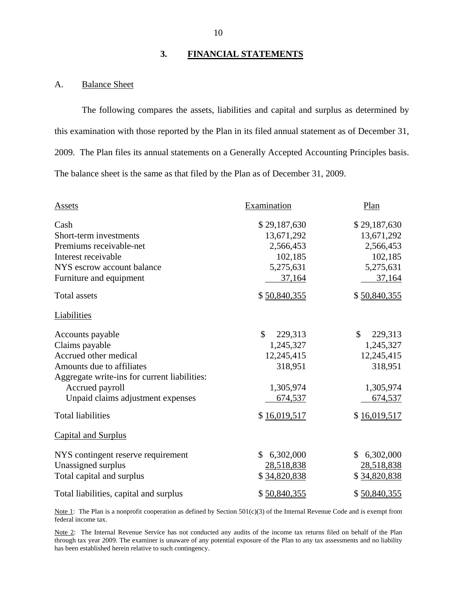### **3. FINANCIAL STATEMENTS**

#### A. Balance Sheet

The following compares the assets, liabilities and capital and surplus as determined by this examination with those reported by the Plan in its filed annual statement as of December 31, 2009. The Plan files its annual statements on a Generally Accepted Accounting Principles basis. The balance sheet is the same as that filed by the Plan as of December 31, 2009.

| Assets                                       | Examination               | Plan                    |  |
|----------------------------------------------|---------------------------|-------------------------|--|
| Cash                                         | \$29,187,630              | \$29,187,630            |  |
| Short-term investments                       | 13,671,292                | 13,671,292              |  |
| Premiums receivable-net                      | 2,566,453                 | 2,566,453               |  |
| Interest receivable                          | 102,185                   | 102,185                 |  |
| NYS escrow account balance                   | 5,275,631                 | 5,275,631               |  |
| Furniture and equipment                      | 37,164                    | 37,164                  |  |
| <b>Total assets</b>                          | \$50,840,355              | \$50,840,355            |  |
| <b>Liabilities</b>                           |                           |                         |  |
| Accounts payable                             | \$<br>229,313             | $\mathbb{S}$<br>229,313 |  |
| Claims payable                               | 1,245,327                 | 1,245,327               |  |
| Accrued other medical                        | 12,245,415                | 12,245,415              |  |
| Amounts due to affiliates                    | 318,951                   | 318,951                 |  |
| Aggregate write-ins for current liabilities: |                           |                         |  |
| Accrued payroll                              | 1,305,974                 | 1,305,974               |  |
| Unpaid claims adjustment expenses            | 674,537                   | 674,537                 |  |
| <b>Total liabilities</b>                     | \$16,019,517              | \$16,019,517            |  |
| <b>Capital and Surplus</b>                   |                           |                         |  |
| NYS contingent reserve requirement           | 6,302,000<br>$\mathbb{S}$ | 6,302,000<br>\$         |  |
| Unassigned surplus                           | 28,518,838                | 28,518,838              |  |
| Total capital and surplus                    | \$34,820,838              | \$34,820,838            |  |
| Total liabilities, capital and surplus       | \$50,840,355              | \$50,840,355            |  |

Note 1: The Plan is a nonprofit cooperation as defined by Section  $501(c)(3)$  of the Internal Revenue Code and is exempt from federal income tax.

Note 2: The Internal Revenue Service has not conducted any audits of the income tax returns filed on behalf of the Plan through tax year 2009. The examiner is unaware of any potential exposure of the Plan to any tax assessments and no liability has been established herein relative to such contingency.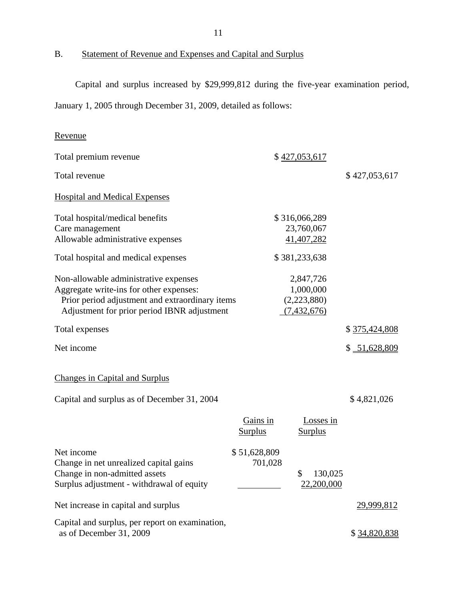B. Statement of Revenue and Expenses and Capital and Surplus

Capital and surplus increased by \$29,999,812 during the five-year examination period,

January 1, 2005 through December 31, 2009, detailed as follows:

# Revenue

| Total premium revenue                                                                                                                                                                                                     |                            | \$427,053,617                                                         |                   |
|---------------------------------------------------------------------------------------------------------------------------------------------------------------------------------------------------------------------------|----------------------------|-----------------------------------------------------------------------|-------------------|
| Total revenue                                                                                                                                                                                                             |                            |                                                                       | \$427,053,617     |
| <b>Hospital and Medical Expenses</b>                                                                                                                                                                                      |                            |                                                                       |                   |
| Total hospital/medical benefits<br>Care management<br>Allowable administrative expenses                                                                                                                                   |                            | \$316,066,289<br>23,760,067<br>41,407,282                             |                   |
| Total hospital and medical expenses<br>Non-allowable administrative expenses<br>Aggregate write-ins for other expenses:<br>Prior period adjustment and extraordinary items<br>Adjustment for prior period IBNR adjustment |                            | \$381,233,638<br>2,847,726<br>1,000,000<br>(2,223,880)<br>(7,432,676) |                   |
| Total expenses                                                                                                                                                                                                            |                            |                                                                       | \$375,424,808     |
| Net income                                                                                                                                                                                                                |                            |                                                                       | \$ 51,628,809     |
| <b>Changes in Capital and Surplus</b>                                                                                                                                                                                     |                            |                                                                       |                   |
| Capital and surplus as of December 31, 2004                                                                                                                                                                               |                            |                                                                       | \$4,821,026       |
|                                                                                                                                                                                                                           | Gains in<br><b>Surplus</b> | Losses in<br><b>Surplus</b>                                           |                   |
| Net income<br>Change in net unrealized capital gains<br>Change in non-admitted assets<br>Surplus adjustment - withdrawal of equity                                                                                        | \$51,628,809<br>701,028    | \$<br>130,025<br>22,200,000                                           |                   |
| Net increase in capital and surplus                                                                                                                                                                                       |                            |                                                                       | <u>29,999,812</u> |
| Capital and surplus, per report on examination,<br>as of December 31, 2009                                                                                                                                                |                            |                                                                       | \$34,820,838      |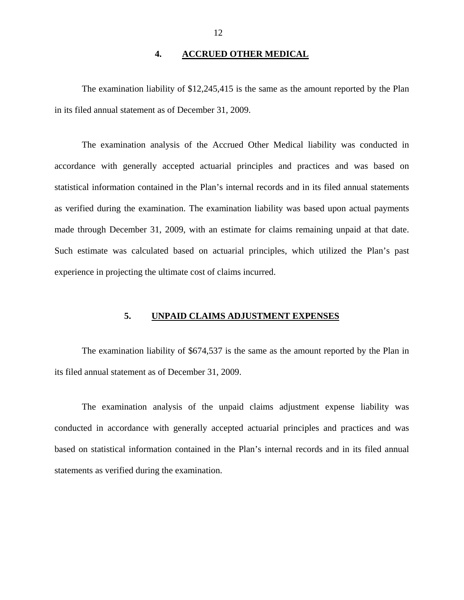### **4. ACCRUED OTHER MEDICAL**

<span id="page-13-0"></span>The examination liability of \$12,245,415 is the same as the amount reported by the Plan in its filed annual statement as of December 31, 2009.

The examination analysis of the Accrued Other Medical liability was conducted in accordance with generally accepted actuarial principles and practices and was based on statistical information contained in the Plan's internal records and in its filed annual statements as verified during the examination. The examination liability was based upon actual payments made through December 31, 2009, with an estimate for claims remaining unpaid at that date. Such estimate was calculated based on actuarial principles, which utilized the Plan's past experience in projecting the ultimate cost of claims incurred.

#### **5. UNPAID CLAIMS ADJUSTMENT EXPENSES**

The examination liability of \$674,537 is the same as the amount reported by the Plan in its filed annual statement as of December 31, 2009.

The examination analysis of the unpaid claims adjustment expense liability was conducted in accordance with generally accepted actuarial principles and practices and was based on statistical information contained in the Plan's internal records and in its filed annual statements as verified during the examination.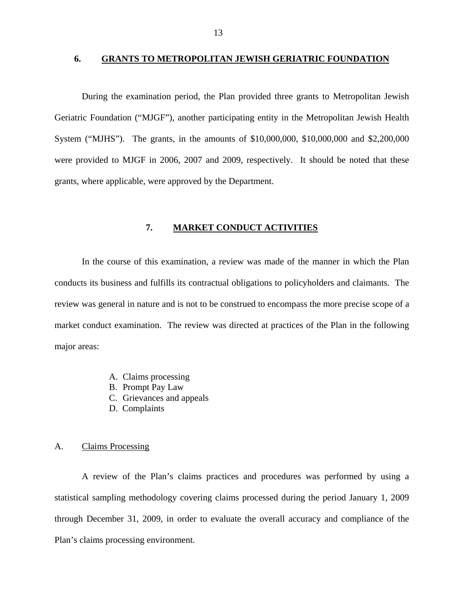#### <span id="page-14-0"></span>**6. GRANTS TO METROPOLITAN JEWISH GERIATRIC FOUNDATION**

During the examination period, the Plan provided three grants to Metropolitan Jewish Geriatric Foundation ("MJGF"), another participating entity in the Metropolitan Jewish Health System ("MJHS"). The grants, in the amounts of \$10,000,000, \$10,000,000 and \$2,200,000 were provided to MJGF in 2006, 2007 and 2009, respectively. It should be noted that these grants, where applicable, were approved by the Department.

#### **7. MARKET CONDUCT ACTIVITIES**

In the course of this examination, a review was made of the manner in which the Plan conducts its business and fulfills its contractual obligations to policyholders and claimants. The review was general in nature and is not to be construed to encompass the more precise scope of a market conduct examination. The review was directed at practices of the Plan in the following major areas:

- A. Claims processing
- B. Prompt Pay Law
- C. Grievances and appeals
- D. Complaints

#### A. Claims Processing

A review of the Plan's claims practices and procedures was performed by using a statistical sampling methodology covering claims processed during the period January 1, 2009 through December 31, 2009, in order to evaluate the overall accuracy and compliance of the Plan's claims processing environment.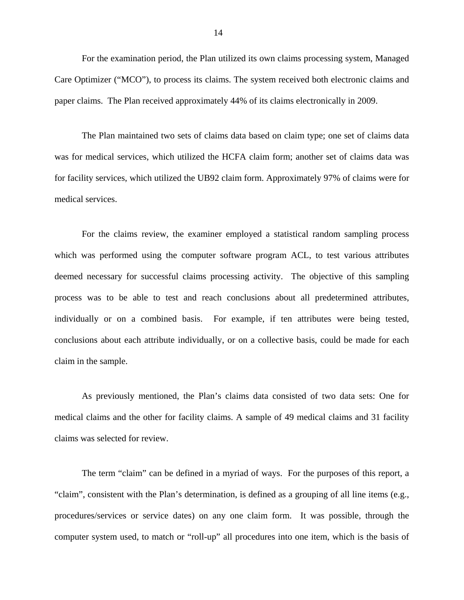For the examination period, the Plan utilized its own claims processing system, Managed Care Optimizer ("MCO"), to process its claims. The system received both electronic claims and paper claims. The Plan received approximately 44% of its claims electronically in 2009.

The Plan maintained two sets of claims data based on claim type; one set of claims data was for medical services, which utilized the HCFA claim form; another set of claims data was for facility services, which utilized the UB92 claim form. Approximately 97% of claims were for medical services.

For the claims review, the examiner employed a statistical random sampling process which was performed using the computer software program ACL, to test various attributes deemed necessary for successful claims processing activity. The objective of this sampling process was to be able to test and reach conclusions about all predetermined attributes, individually or on a combined basis. For example, if ten attributes were being tested, conclusions about each attribute individually, or on a collective basis, could be made for each claim in the sample.

As previously mentioned, the Plan's claims data consisted of two data sets: One for medical claims and the other for facility claims. A sample of 49 medical claims and 31 facility claims was selected for review.

The term "claim" can be defined in a myriad of ways. For the purposes of this report, a "claim", consistent with the Plan's determination, is defined as a grouping of all line items (e.g., procedures/services or service dates) on any one claim form. It was possible, through the computer system used, to match or "roll-up" all procedures into one item, which is the basis of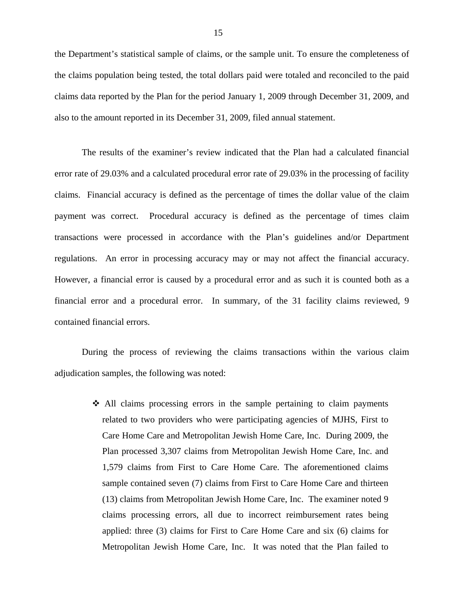the Department's statistical sample of claims, or the sample unit. To ensure the completeness of the claims population being tested, the total dollars paid were totaled and reconciled to the paid claims data reported by the Plan for the period January 1, 2009 through December 31, 2009, and also to the amount reported in its December 31, 2009, filed annual statement.

The results of the examiner's review indicated that the Plan had a calculated financial error rate of 29.03% and a calculated procedural error rate of 29.03% in the processing of facility claims. Financial accuracy is defined as the percentage of times the dollar value of the claim payment was correct. Procedural accuracy is defined as the percentage of times claim transactions were processed in accordance with the Plan's guidelines and/or Department regulations. An error in processing accuracy may or may not affect the financial accuracy. However, a financial error is caused by a procedural error and as such it is counted both as a financial error and a procedural error. In summary, of the 31 facility claims reviewed, 9 contained financial errors.

During the process of reviewing the claims transactions within the various claim adjudication samples, the following was noted:

> All claims processing errors in the sample pertaining to claim payments related to two providers who were participating agencies of MJHS, First to Care Home Care and Metropolitan Jewish Home Care, Inc. During 2009, the Plan processed 3,307 claims from Metropolitan Jewish Home Care, Inc. and 1,579 claims from First to Care Home Care. The aforementioned claims sample contained seven (7) claims from First to Care Home Care and thirteen (13) claims from Metropolitan Jewish Home Care, Inc. The examiner noted 9 claims processing errors, all due to incorrect reimbursement rates being applied: three (3) claims for First to Care Home Care and six (6) claims for Metropolitan Jewish Home Care, Inc. It was noted that the Plan failed to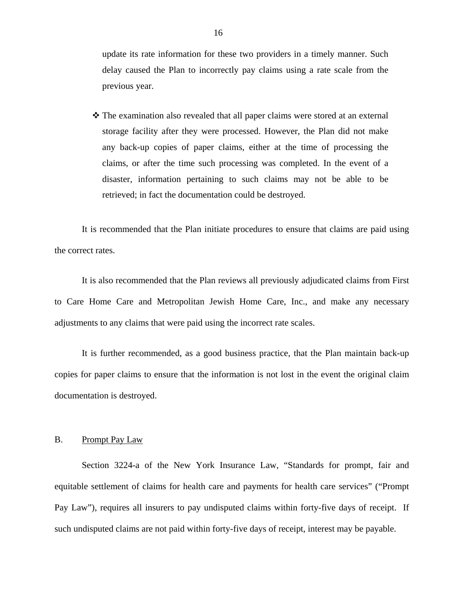<span id="page-17-0"></span>update its rate information for these two providers in a timely manner. Such delay caused the Plan to incorrectly pay claims using a rate scale from the previous year.

 $\hat{\mathbf{v}}$  The examination also revealed that all paper claims were stored at an external storage facility after they were processed. However, the Plan did not make any back-up copies of paper claims, either at the time of processing the claims, or after the time such processing was completed. In the event of a disaster, information pertaining to such claims may not be able to be retrieved; in fact the documentation could be destroyed.

It is recommended that the Plan initiate procedures to ensure that claims are paid using the correct rates.

It is also recommended that the Plan reviews all previously adjudicated claims from First to Care Home Care and Metropolitan Jewish Home Care, Inc., and make any necessary adjustments to any claims that were paid using the incorrect rate scales.

It is further recommended, as a good business practice, that the Plan maintain back-up copies for paper claims to ensure that the information is not lost in the event the original claim documentation is destroyed.

### B. Prompt Pay Law

Section 3224-a of the New York Insurance Law, "Standards for prompt, fair and equitable settlement of claims for health care and payments for health care services" ("Prompt Pay Law"), requires all insurers to pay undisputed claims within forty-five days of receipt. If such undisputed claims are not paid within forty-five days of receipt, interest may be payable.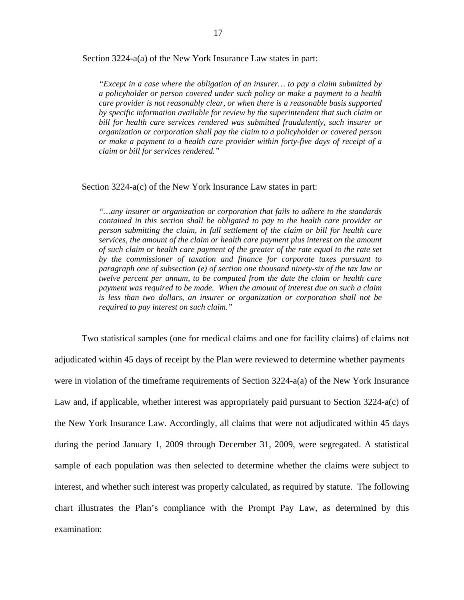Section 3224-a(a) of the New York Insurance Law states in part:

*"Except in a case where the obligation of an insurer… to pay a claim submitted by a policyholder or person covered under such policy or make a payment to a health care provider is not reasonably clear, or when there is a reasonable basis supported by specific information available for review by the superintendent that such claim or*  bill for health care services rendered was submitted fraudulently, such insurer or *organization or corporation shall pay the claim to a policyholder or covered person or make a payment to a health care provider within forty-five days of receipt of a claim or bill for services rendered."* 

#### Section 3224-a(c) of the New York Insurance Law states in part:

*"…any insurer or organization or corporation that fails to adhere to the standards contained in this section shall be obligated to pay to the health care provider or person submitting the claim, in full settlement of the claim or bill for health care services, the amount of the claim or health care payment plus interest on the amount of such claim or health care payment of the greater of the rate equal to the rate set by the commissioner of taxation and finance for corporate taxes pursuant to paragraph one of subsection (e) of section one thousand ninety-six of the tax law or twelve percent per annum, to be computed from the date the claim or health care payment was required to be made. When the amount of interest due on such a claim is less than two dollars, an insurer or organization or corporation shall not be required to pay interest on such claim."* 

Two statistical samples (one for medical claims and one for facility claims) of claims not adjudicated within 45 days of receipt by the Plan were reviewed to determine whether payments were in violation of the timeframe requirements of Section 3224-a(a) of the New York Insurance Law and, if applicable, whether interest was appropriately paid pursuant to Section 3224-a(c) of the New York Insurance Law. Accordingly, all claims that were not adjudicated within 45 days during the period January 1, 2009 through December 31, 2009, were segregated. A statistical sample of each population was then selected to determine whether the claims were subject to interest, and whether such interest was properly calculated, as required by statute. The following chart illustrates the Plan's compliance with the Prompt Pay Law, as determined by this examination: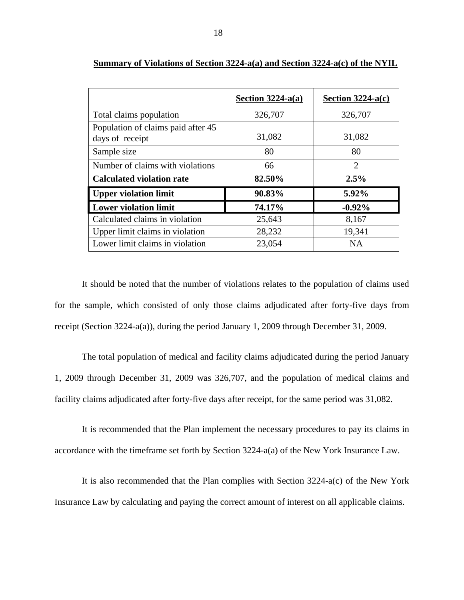|                                                       | Section $3224-a(a)$ | Section $3224-a(c)$ |
|-------------------------------------------------------|---------------------|---------------------|
| Total claims population                               | 326,707             | 326,707             |
| Population of claims paid after 45<br>days of receipt | 31,082              | 31,082              |
| Sample size                                           | 80                  | 80                  |
| Number of claims with violations                      | 66                  | $\overline{2}$      |
| <b>Calculated violation rate</b>                      | 82.50%              | 2.5%                |
| <b>Upper violation limit</b>                          | 90.83%              | 5.92%               |
| <b>Lower violation limit</b>                          | 74.17%              | $-0.92\%$           |
| Calculated claims in violation                        | 25,643              | 8,167               |
| Upper limit claims in violation                       | 28,232              | 19,341              |
| Lower limit claims in violation                       | 23,054              | <b>NA</b>           |

**Summary of Violations of Section 3224-a(a) and Section 3224-a(c) of the NYIL** 

It should be noted that the number of violations relates to the population of claims used for the sample, which consisted of only those claims adjudicated after forty-five days from receipt (Section 3224-a(a)), during the period January 1, 2009 through December 31, 2009.

The total population of medical and facility claims adjudicated during the period January 1, 2009 through December 31, 2009 was 326,707, and the population of medical claims and facility claims adjudicated after forty-five days after receipt, for the same period was 31,082.

It is recommended that the Plan implement the necessary procedures to pay its claims in accordance with the timeframe set forth by Section 3224-a(a) of the New York Insurance Law.

It is also recommended that the Plan complies with Section 3224-a(c) of the New York Insurance Law by calculating and paying the correct amount of interest on all applicable claims.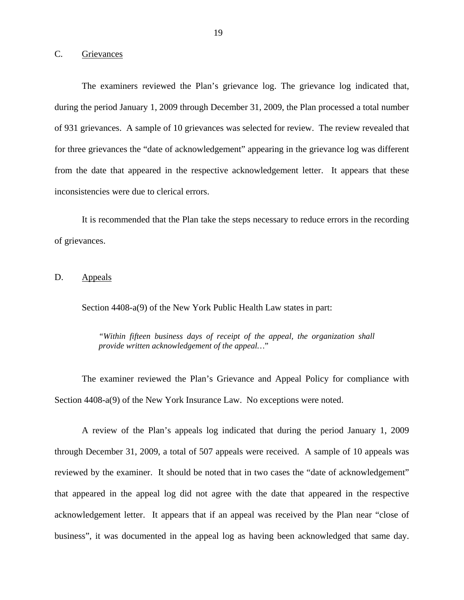#### <span id="page-20-0"></span>C. Grievances

The examiners reviewed the Plan's grievance log. The grievance log indicated that, during the period January 1, 2009 through December 31, 2009, the Plan processed a total number of 931 grievances. A sample of 10 grievances was selected for review. The review revealed that for three grievances the "date of acknowledgement" appearing in the grievance log was different from the date that appeared in the respective acknowledgement letter. It appears that these inconsistencies were due to clerical errors.

It is recommended that the Plan take the steps necessary to reduce errors in the recording of grievances.

### D. Appeals

Section 4408-a(9) of the New York Public Health Law states in part:

*"Within fifteen business days of receipt of the appeal, the organization shall provide written acknowledgement of the appeal…*"

The examiner reviewed the Plan's Grievance and Appeal Policy for compliance with Section 4408-a(9) of the New York Insurance Law. No exceptions were noted.

A review of the Plan's appeals log indicated that during the period January 1, 2009 through December 31, 2009, a total of 507 appeals were received. A sample of 10 appeals was reviewed by the examiner. It should be noted that in two cases the "date of acknowledgement" that appeared in the appeal log did not agree with the date that appeared in the respective acknowledgement letter. It appears that if an appeal was received by the Plan near "close of business", it was documented in the appeal log as having been acknowledged that same day.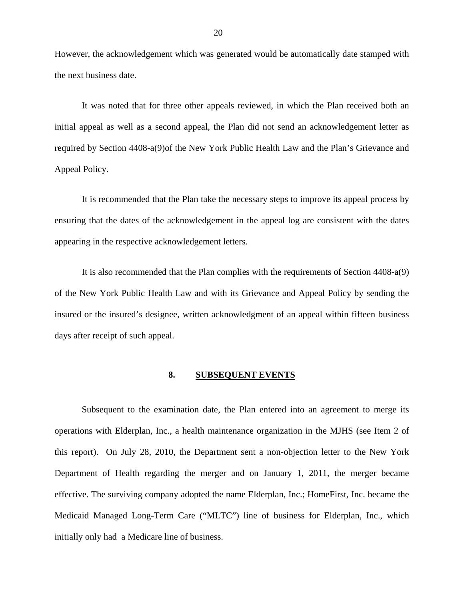<span id="page-21-0"></span>However, the acknowledgement which was generated would be automatically date stamped with the next business date.

It was noted that for three other appeals reviewed, in which the Plan received both an initial appeal as well as a second appeal, the Plan did not send an acknowledgement letter as required by Section 4408-a(9)of the New York Public Health Law and the Plan's Grievance and Appeal Policy.

It is recommended that the Plan take the necessary steps to improve its appeal process by ensuring that the dates of the acknowledgement in the appeal log are consistent with the dates appearing in the respective acknowledgement letters.

It is also recommended that the Plan complies with the requirements of Section 4408-a(9) of the New York Public Health Law and with its Grievance and Appeal Policy by sending the insured or the insured's designee, written acknowledgment of an appeal within fifteen business days after receipt of such appeal.

#### **8. SUBSEQUENT EVENTS**

Subsequent to the examination date, the Plan entered into an agreement to merge its operations with Elderplan, Inc., a health maintenance organization in the MJHS (see Item 2 of this report). On July 28, 2010, the Department sent a non-objection letter to the New York Department of Health regarding the merger and on January 1, 2011, the merger became effective. The surviving company adopted the name Elderplan, Inc.; HomeFirst, Inc. became the Medicaid Managed Long-Term Care ("MLTC") line of business for Elderplan, Inc., which initially only had a Medicare line of business.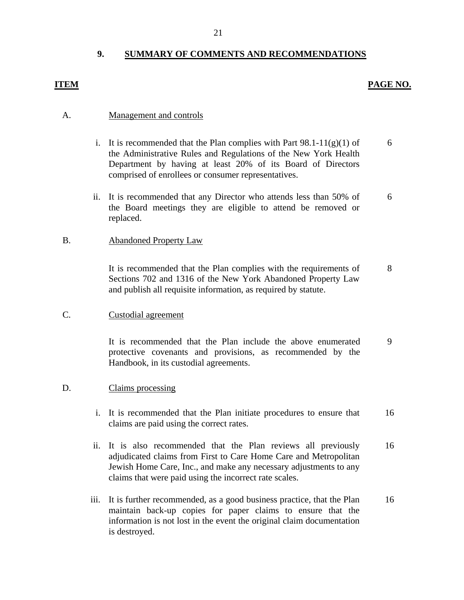# **9. SUMMARY OF COMMENTS AND RECOMMENDATIONS**

### <span id="page-22-0"></span>**ITEM PAGE NO.**

#### A. Management and controls

- i. It is recommended that the Plan complies with Part  $98.1-11(g)(1)$  of 6 the Administrative Rules and Regulations of the New York Health Department by having at least 20% of its Board of Directors comprised of enrollees or consumer representatives.
- ii. It is recommended that any Director who attends less than 50% of 6 the Board meetings they are eligible to attend be removed or replaced.

#### B. Abandoned Property Law

It is recommended that the Plan complies with the requirements of 8 Sections 702 and 1316 of the New York Abandoned Property Law and publish all requisite information, as required by statute.

### C. Custodial agreement

It is recommended that the Plan include the above enumerated 9 protective covenants and provisions, as recommended by the Handbook, in its custodial agreements.

#### D. Claims processing

- i. It is recommended that the Plan initiate procedures to ensure that 16 claims are paid using the correct rates.
- ii. It is also recommended that the Plan reviews all previously 16 adjudicated claims from First to Care Home Care and Metropolitan Jewish Home Care, Inc., and make any necessary adjustments to any claims that were paid using the incorrect rate scales.
- iii. It is further recommended, as a good business practice, that the Plan 16 maintain back-up copies for paper claims to ensure that the information is not lost in the event the original claim documentation is destroyed.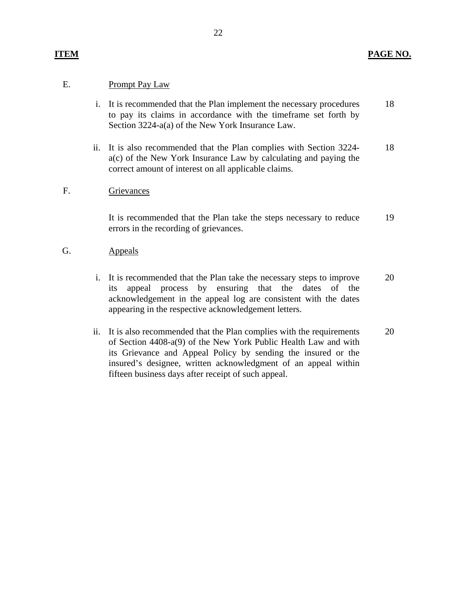## **ITEM** PAGE NO.

## E. Prompt Pay Law

- i. It is recommended that the Plan implement the necessary procedures to pay its claims in accordance with the timeframe set forth by Section 3224-a(a) of the New York Insurance Law. 18
- ii. It is also recommended that the Plan complies with Section 3224 a(c) of the New York Insurance Law by calculating and paying the correct amount of interest on all applicable claims. 18

### F. Grievances

It is recommended that the Plan take the steps necessary to reduce errors in the recording of grievances. 19

- G. Appeals
	- i. It is recommended that the Plan take the necessary steps to improve its appeal process by ensuring that the dates of the acknowledgement in the appeal log are consistent with the dates appearing in the respective acknowledgement letters. 20
	- ii. It is also recommended that the Plan complies with the requirements of Section 4408-a(9) of the New York Public Health Law and with its Grievance and Appeal Policy by sending the insured or the insured's designee, written acknowledgment of an appeal within fifteen business days after receipt of such appeal. 20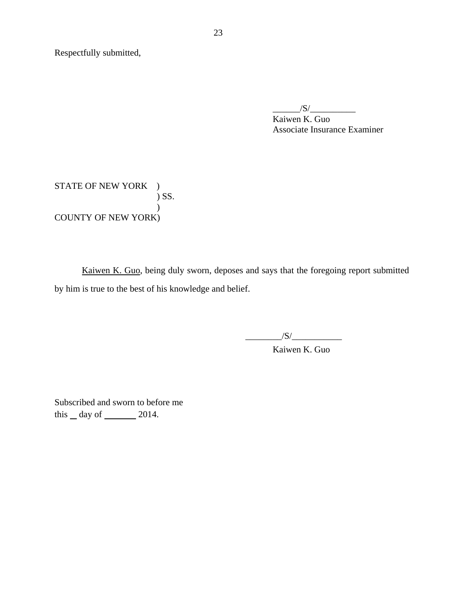Respectfully submitted,

 $/S/$ 

Kaiwen K. Guo Associate Insurance Examiner

STATE OF NEW YORK ) ) SS.  $\mathcal{L}$ COUNTY OF NEW YORK)

Kaiwen K. Guo, being duly sworn, deposes and says that the foregoing report submitted by him is true to the best of his knowledge and belief.

 $\frac{|S|}{|S|}$ 

Kaiwen K. Guo

Subscribed and sworn to before me this  $\_\,day\$  of  $\_\_\_\_\_2$  2014.